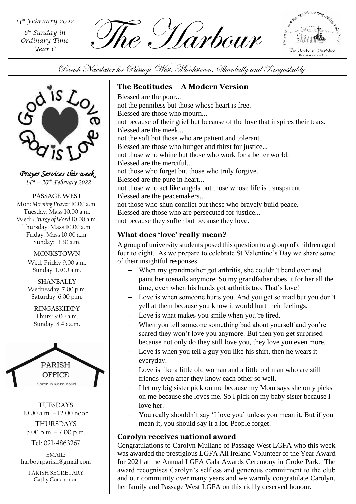*6 th Sunday in Ordinary Time Year C*

 $\overline{f}$  *Sth* Sunday in<br>
Ordinary Time<br>  $\overline{f}$  **Fig. For the Continue of the Form** 



Parish Newsletter for Passage West, Monkstown, Shanbally and Ringaskiddy



*Prayer Services this week 14th – 20th February 2022*

**PASSAGE WEST** Mon: *Morning Prayer* 10.00 a.m. Tuesday: Mass 10.00 a.m. Wed: *Liturgy of Word* 10.00 a.m. Thursday: Mass 10.00 a.m. Friday: Mass 10.00 a.m. Sunday: 11.30 a.m.

> **MONKSTOWN** Wed, Friday 9.00 a.m. Sunday: 10.00 a.m.

**SHANBALLY** Wednesday: 7.00 p.m. Saturday: 6.00 p.m.

**RINGASKIDDY** Thurs: 9.00 a.m. Sunday: 8.45 a.m.



TUESDAYS 10.00 a.m. – 12.00 noon THURSDAYS

5.00 p.m. – 7.00 p.m.

Tel: 021-4863267

EMAIL: harbourparish@gmail.com

PARISH SECRETARY Cathy Concannon

# **The Beatitudes – A Modern Version**

Blessed are the poor... not the penniless but those whose heart is free. Blessed are those who mourn... not because of their grief but because of the love that inspires their tears. Blessed are the meek... not the soft but those who are patient and tolerant. Blessed are those who hunger and thirst for justice... not those who whine but those who work for a better world. Blessed are the merciful... not those who forget but those who truly forgive. Blessed are the pure in heart... not those who act like angels but those whose life is transparent. Blessed are the peacemakers... not those who shun conflict but those who bravely build peace. Blessed are those who are persecuted for justice... not because they suffer but because they love.

# **What does 'love' really mean?**

A group of university students posed this question to a group of children aged four to eight. As we prepare to celebrate St Valentine's Day we share some of their insightful responses.

- − When my grandmother got arthritis, she couldn't bend over and paint her toenails anymore. So my grandfather does it for her all the time, even when his hands got arthritis too. That's love!
- *Parish Assembly* yell at them because you know it would hurt their feelings. − Love is when someone hurts you. And you get so mad but you don't
- − Love is what makes you smile when you're tired.
- − When you tell someone something bad about yourself and you're scared they won't love you anymore. But then you get surprised because not only do they still love you, they love you even more.
- Love is when you tell a guy you like his shirt, then he wears it everyday.
- Love is like a little old woman and a little old man who are still friends even after they know each other so well.
- − I let my big sister pick on me because my Mom says she only picks on me because she loves me. So I pick on my baby sister because I love her.
- − You really shouldn't say 'I love you' unless you mean it. But if you mean it, you should say it a lot. People forget!

# **Carolyn receives national award**

Congratulations to Carolyn Mullane of Passage West LGFA who this week was awarded the prestigious LGFA All Ireland Volunteer of the Year Award for 2021 at the Annual LGFA Gala Awards Ceremony in Croke Park. The award recognises Carolyn's selfless and generous commitment to the club and our community over many years and we warmly congratulate Carolyn, her family and Passage West LGFA on this richly deserved honour.